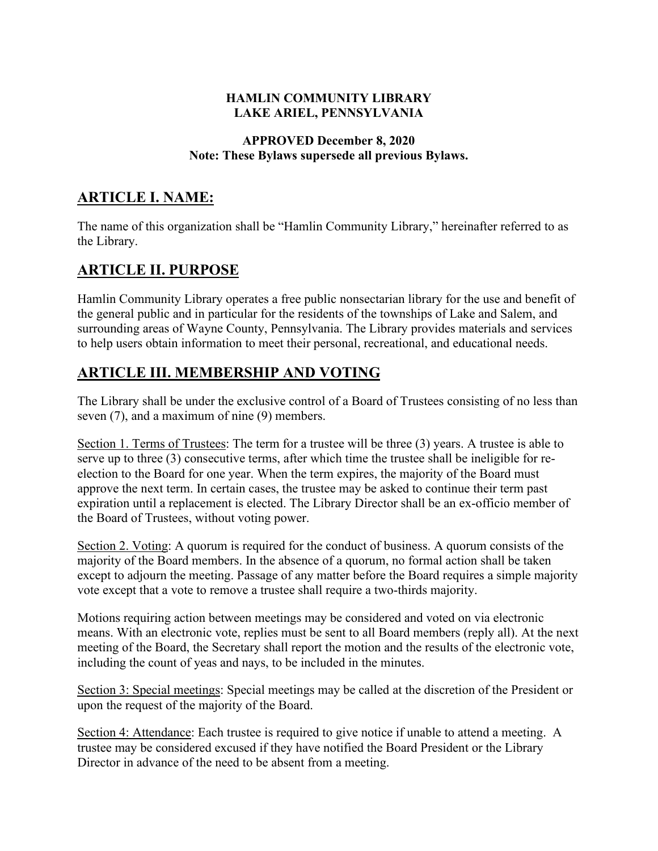#### **HAMLIN COMMUNITY LIBRARY LAKE ARIEL, PENNSYLVANIA**

#### **APPROVED December 8, 2020 Note: These Bylaws supersede all previous Bylaws.**

## **ARTICLE I. NAME:**

The name of this organization shall be "Hamlin Community Library," hereinafter referred to as the Library.

# **ARTICLE II. PURPOSE**

Hamlin Community Library operates a free public nonsectarian library for the use and benefit of the general public and in particular for the residents of the townships of Lake and Salem, and surrounding areas of Wayne County, Pennsylvania. The Library provides materials and services to help users obtain information to meet their personal, recreational, and educational needs.

## **ARTICLE III. MEMBERSHIP AND VOTING**

The Library shall be under the exclusive control of a Board of Trustees consisting of no less than seven (7), and a maximum of nine (9) members.

Section 1. Terms of Trustees: The term for a trustee will be three (3) years. A trustee is able to serve up to three (3) consecutive terms, after which time the trustee shall be ineligible for reelection to the Board for one year. When the term expires, the majority of the Board must approve the next term. In certain cases, the trustee may be asked to continue their term past expiration until a replacement is elected. The Library Director shall be an ex-officio member of the Board of Trustees, without voting power.

Section 2. Voting: A quorum is required for the conduct of business. A quorum consists of the majority of the Board members. In the absence of a quorum, no formal action shall be taken except to adjourn the meeting. Passage of any matter before the Board requires a simple majority vote except that a vote to remove a trustee shall require a two-thirds majority.

Motions requiring action between meetings may be considered and voted on via electronic means. With an electronic vote, replies must be sent to all Board members (reply all). At the next meeting of the Board, the Secretary shall report the motion and the results of the electronic vote, including the count of yeas and nays, to be included in the minutes.

Section 3: Special meetings: Special meetings may be called at the discretion of the President or upon the request of the majority of the Board.

Section 4: Attendance: Each trustee is required to give notice if unable to attend a meeting. A trustee may be considered excused if they have notified the Board President or the Library Director in advance of the need to be absent from a meeting.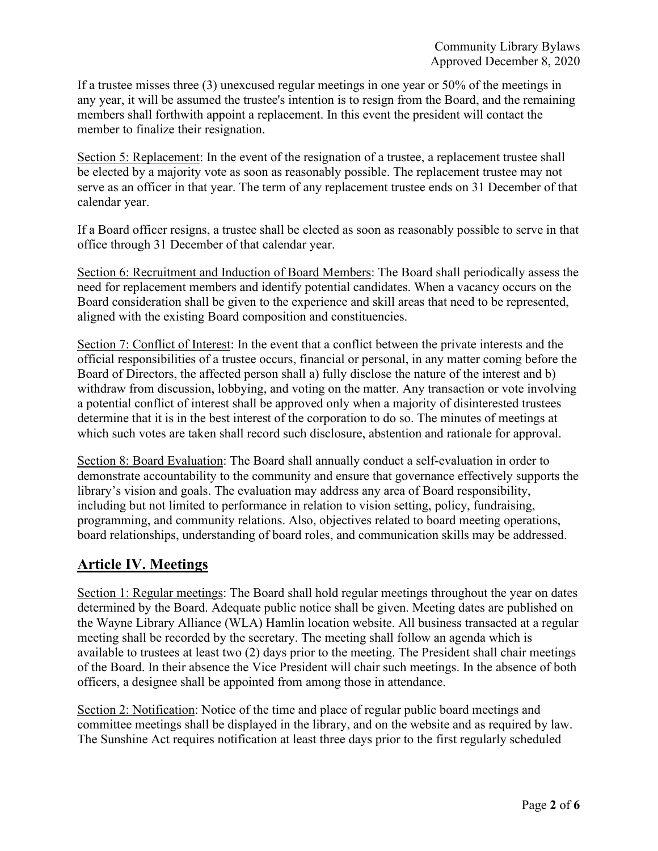If a trustee misses three (3) unexcused regular meetings in one year or 50% of the meetings in any year, it will be assumed the trustee's intention is to resign from the Board, and the remaining members shall forthwith appoint a replacement. In this event the president will contact the member to finalize their resignation.

Section 5: Replacement: In the event of the resignation of a trustee, a replacement trustee shall be elected by a majority vote as soon as reasonably possible. The replacement trustee may not serve as an officer in that year. The term of any replacement trustee ends on 31 December of that calendar year.

If a Board officer resigns, a trustee shall be elected as soon as reasonably possible to serve in that office through 31 December of that calendar year.

Section 6: Recruitment and Induction of Board Members: The Board shall periodically assess the need for replacement members and identify potential candidates. When a vacancy occurs on the Board consideration shall be given to the experience and skill areas that need to be represented, aligned with the existing Board composition and constituencies.

Section 7: Conflict of Interest: In the event that a conflict between the private interests and the official responsibilities of a trustee occurs, financial or personal, in any matter coming before the Board of Directors, the affected person shall a) fully disclose the nature of the interest and b) withdraw from discussion, lobbying, and voting on the matter. Any transaction or vote involving a potential conflict of interest shall be approved only when a majority of disinterested trustees determine that it is in the best interest of the corporation to do so. The minutes of meetings at which such votes are taken shall record such disclosure, abstention and rationale for approval.

Section 8: Board Evaluation: The Board shall annually conduct a self-evaluation in order to demonstrate accountability to the community and ensure that governance effectively supports the library's vision and goals. The evaluation may address any area of Board responsibility, including but not limited to performance in relation to vision setting, policy, fundraising, programming, and community relations. Also, objectives related to board meeting operations, board relationships, understanding of board roles, and communication skills may be addressed.

# **Article IV. Meetings**

Section 1: Regular meetings: The Board shall hold regular meetings throughout the year on dates determined by the Board. Adequate public notice shall be given. Meeting dates are published on the Wayne Library Alliance (WLA) Hamlin location website. All business transacted at a regular meeting shall be recorded by the secretary. The meeting shall follow an agenda which is available to trustees at least two (2) days prior to the meeting. The President shall chair meetings of the Board. In their absence the Vice President will chair such meetings. In the absence of both officers, a designee shall be appointed from among those in attendance.

Section 2: Notification: Notice of the time and place of regular public board meetings and committee meetings shall be displayed in the library, and on the website and as required by law. The Sunshine Act requires notification at least three days prior to the first regularly scheduled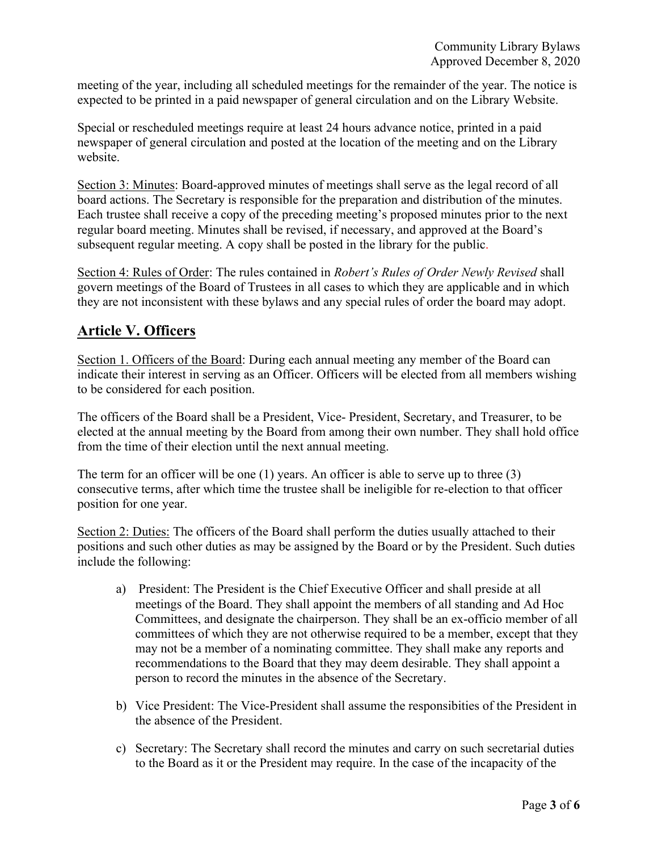meeting of the year, including all scheduled meetings for the remainder of the year. The notice is expected to be printed in a paid newspaper of general circulation and on the Library Website.

Special or rescheduled meetings require at least 24 hours advance notice, printed in a paid newspaper of general circulation and posted at the location of the meeting and on the Library website.

Section 3: Minutes: Board-approved minutes of meetings shall serve as the legal record of all board actions. The Secretary is responsible for the preparation and distribution of the minutes. Each trustee shall receive a copy of the preceding meeting's proposed minutes prior to the next regular board meeting. Minutes shall be revised, if necessary, and approved at the Board's subsequent regular meeting. A copy shall be posted in the library for the public.

Section 4: Rules of Order: The rules contained in *Robert's Rules of Order Newly Revised* shall govern meetings of the Board of Trustees in all cases to which they are applicable and in which they are not inconsistent with these bylaws and any special rules of order the board may adopt.

## **Article V. Officers**

Section 1. Officers of the Board: During each annual meeting any member of the Board can indicate their interest in serving as an Officer. Officers will be elected from all members wishing to be considered for each position.

The officers of the Board shall be a President, Vice- President, Secretary, and Treasurer, to be elected at the annual meeting by the Board from among their own number. They shall hold office from the time of their election until the next annual meeting.

The term for an officer will be one (1) years. An officer is able to serve up to three (3) consecutive terms, after which time the trustee shall be ineligible for re-election to that officer position for one year.

Section 2: Duties: The officers of the Board shall perform the duties usually attached to their positions and such other duties as may be assigned by the Board or by the President. Such duties include the following:

- a) President: The President is the Chief Executive Officer and shall preside at all meetings of the Board. They shall appoint the members of all standing and Ad Hoc Committees, and designate the chairperson. They shall be an ex-officio member of all committees of which they are not otherwise required to be a member, except that they may not be a member of a nominating committee. They shall make any reports and recommendations to the Board that they may deem desirable. They shall appoint a person to record the minutes in the absence of the Secretary.
- b) Vice President: The Vice-President shall assume the responsibities of the President in the absence of the President.
- c) Secretary: The Secretary shall record the minutes and carry on such secretarial duties to the Board as it or the President may require. In the case of the incapacity of the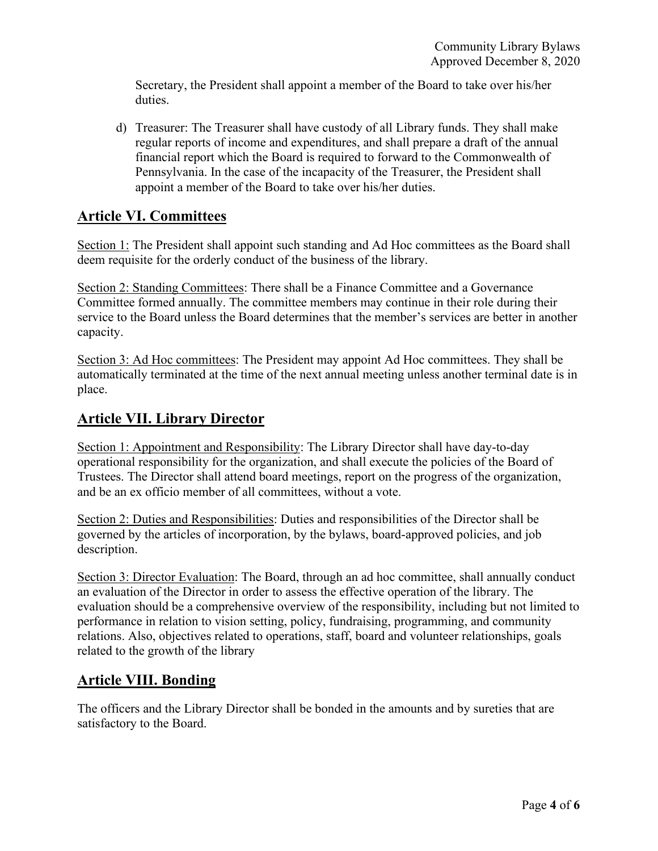Secretary, the President shall appoint a member of the Board to take over his/her duties.

d) Treasurer: The Treasurer shall have custody of all Library funds. They shall make regular reports of income and expenditures, and shall prepare a draft of the annual financial report which the Board is required to forward to the Commonwealth of Pennsylvania. In the case of the incapacity of the Treasurer, the President shall appoint a member of the Board to take over his/her duties.

#### **Article VI. Committees**

Section 1: The President shall appoint such standing and Ad Hoc committees as the Board shall deem requisite for the orderly conduct of the business of the library.

Section 2: Standing Committees: There shall be a Finance Committee and a Governance Committee formed annually. The committee members may continue in their role during their service to the Board unless the Board determines that the member's services are better in another capacity.

Section 3: Ad Hoc committees: The President may appoint Ad Hoc committees. They shall be automatically terminated at the time of the next annual meeting unless another terminal date is in place.

#### **Article VII. Library Director**

Section 1: Appointment and Responsibility: The Library Director shall have day-to-day operational responsibility for the organization, and shall execute the policies of the Board of Trustees. The Director shall attend board meetings, report on the progress of the organization, and be an ex officio member of all committees, without a vote.

Section 2: Duties and Responsibilities: Duties and responsibilities of the Director shall be governed by the articles of incorporation, by the bylaws, board-approved policies, and job description.

Section 3: Director Evaluation: The Board, through an ad hoc committee, shall annually conduct an evaluation of the Director in order to assess the effective operation of the library. The evaluation should be a comprehensive overview of the responsibility, including but not limited to performance in relation to vision setting, policy, fundraising, programming, and community relations. Also, objectives related to operations, staff, board and volunteer relationships, goals related to the growth of the library

#### **Article VIII. Bonding**

The officers and the Library Director shall be bonded in the amounts and by sureties that are satisfactory to the Board.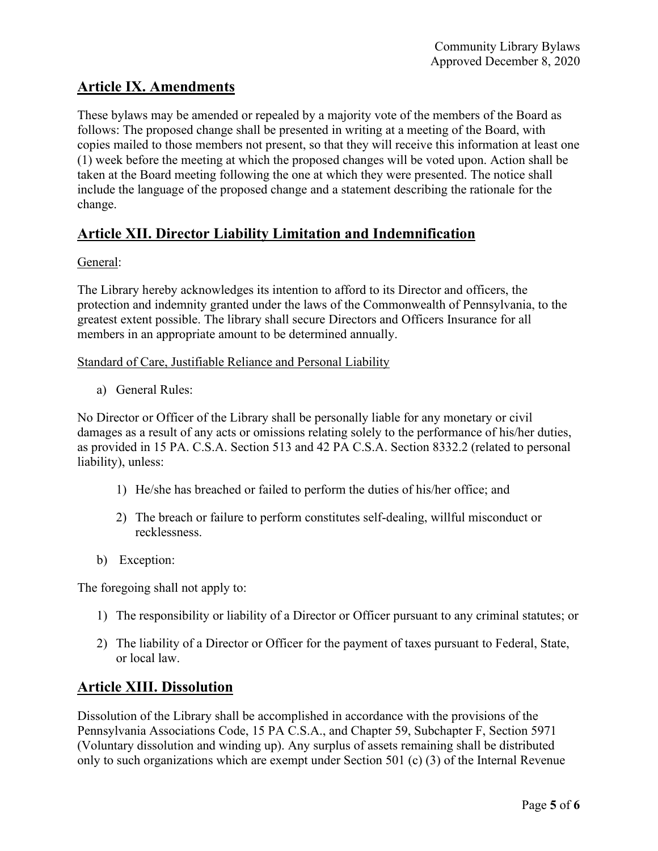## **Article IX. Amendments**

These bylaws may be amended or repealed by a majority vote of the members of the Board as follows: The proposed change shall be presented in writing at a meeting of the Board, with copies mailed to those members not present, so that they will receive this information at least one (1) week before the meeting at which the proposed changes will be voted upon. Action shall be taken at the Board meeting following the one at which they were presented. The notice shall include the language of the proposed change and a statement describing the rationale for the change.

## **Article XII. Director Liability Limitation and Indemnification**

#### General:

The Library hereby acknowledges its intention to afford to its Director and officers, the protection and indemnity granted under the laws of the Commonwealth of Pennsylvania, to the greatest extent possible. The library shall secure Directors and Officers Insurance for all members in an appropriate amount to be determined annually.

#### Standard of Care, Justifiable Reliance and Personal Liability

a) General Rules:

No Director or Officer of the Library shall be personally liable for any monetary or civil damages as a result of any acts or omissions relating solely to the performance of his/her duties, as provided in 15 PA. C.S.A. Section 513 and 42 PA C.S.A. Section 8332.2 (related to personal liability), unless:

- 1) He/she has breached or failed to perform the duties of his/her office; and
- 2) The breach or failure to perform constitutes self-dealing, willful misconduct or recklessness.
- b) Exception:

The foregoing shall not apply to:

- 1) The responsibility or liability of a Director or Officer pursuant to any criminal statutes; or
- 2) The liability of a Director or Officer for the payment of taxes pursuant to Federal, State, or local law.

## **Article XIII. Dissolution**

Dissolution of the Library shall be accomplished in accordance with the provisions of the Pennsylvania Associations Code, 15 PA C.S.A., and Chapter 59, Subchapter F, Section 5971 (Voluntary dissolution and winding up). Any surplus of assets remaining shall be distributed only to such organizations which are exempt under Section 501 (c) (3) of the Internal Revenue